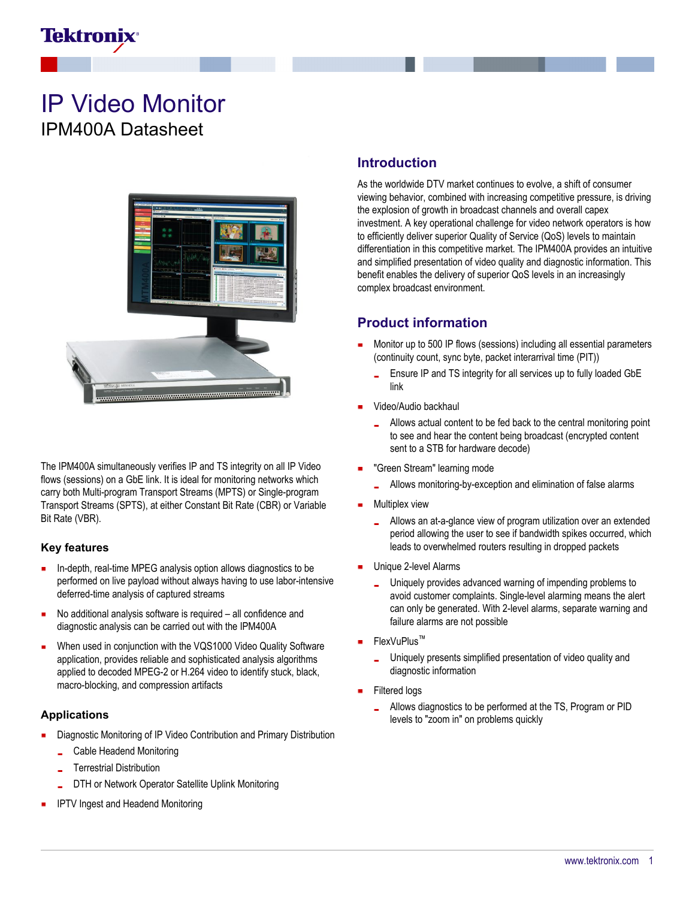

# IP Video Monitor IPM400A Datasheet



The IPM400A simultaneously verifies IP and TS integrity on all IP Video flows (sessions) on a GbE link. It is ideal for monitoring networks which carry both Multi-program Transport Streams (MPTS) or Single-program Transport Streams (SPTS), at either Constant Bit Rate (CBR) or Variable Bit Rate (VBR).

#### **Key features**

- a, In-depth, real-time MPEG analysis option allows diagnostics to be performed on live payload without always having to use labor-intensive deferred-time analysis of captured streams
- No additional analysis software is required all confidence and diagnostic analysis can be carried out with the IPM400A
- When used in conjunction with the VQS1000 Video Quality Software application, provides reliable and sophisticated analysis algorithms applied to decoded MPEG-2 or H.264 video to identify stuck, black, macro-blocking, and compression artifacts

#### **Applications**

- Diagnostic Monitoring of IP Video Contribution and Primary Distribution
	- Cable Headend Monitoring
	- Terrestrial Distribution
	- DTH or Network Operator Satellite Uplink Monitoring
- IPTV Ingest and Headend Monitoring

### **Introduction**

As the worldwide DTV market continues to evolve, a shift of consumer viewing behavior, combined with increasing competitive pressure, is driving the explosion of growth in broadcast channels and overall capex investment. A key operational challenge for video network operators is how to efficiently deliver superior Quality of Service (QoS) levels to maintain differentiation in this competitive market. The IPM400A provides an intuitive and simplified presentation of video quality and diagnostic information. This benefit enables the delivery of superior QoS levels in an increasingly complex broadcast environment.

## **Product information**

- Monitor up to 500 IP flows (sessions) including all essential parameters (continuity count, sync byte, packet interarrival time (PIT))
	- Ensure IP and TS integrity for all services up to fully loaded GbE link
- Video/Audio backhaul
	- Allows actual content to be fed back to the central monitoring point to see and hear the content being broadcast (encrypted content sent to a STB for hardware decode)
- "Green Stream" learning mode
	- Allows monitoring-by-exception and elimination of false alarms
- Multiplex view
	- Allows an at-a-glance view of program utilization over an extended period allowing the user to see if bandwidth spikes occurred, which leads to overwhelmed routers resulting in dropped packets
- Unique 2-level Alarms
	- Uniquely provides advanced warning of impending problems to a. avoid customer complaints. Single-level alarming means the alert can only be generated. With 2-level alarms, separate warning and failure alarms are not possible
- FlexVuPlus™
	- Uniquely presents simplified presentation of video quality and diagnostic information
- Filtered logs
	- Allows diagnostics to be performed at the TS, Program or PID levels to "zoom in" on problems quickly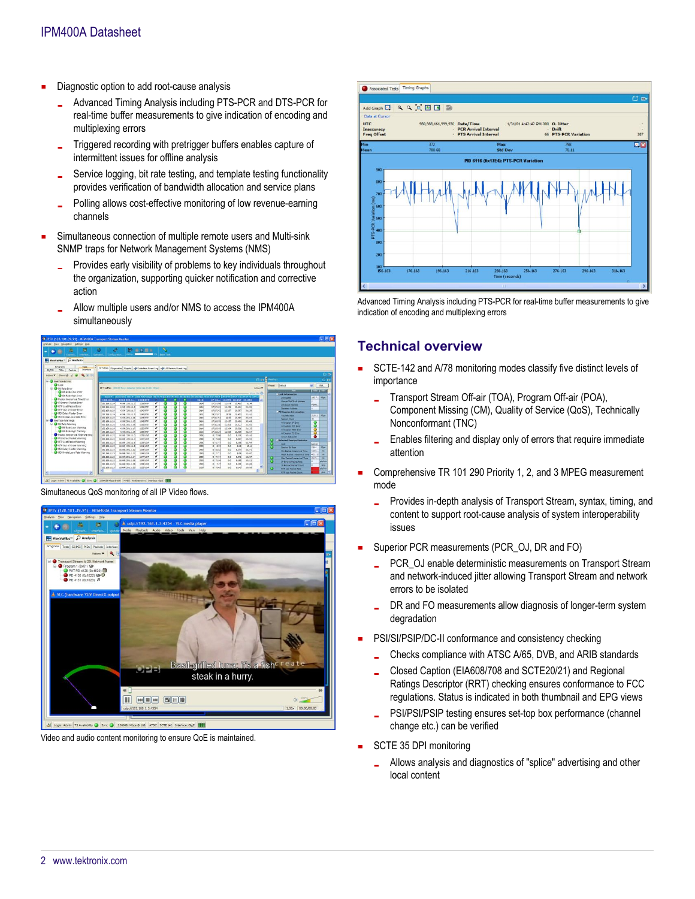- Diagnostic option to add root-cause analysis
	- Advanced Timing Analysis including PTS-PCR and DTS-PCR for  $\mathbf{r}$ real-time buffer measurements to give indication of encoding and multiplexing errors
	- Triggered recording with pretrigger buffers enables capture of intermittent issues for offline analysis
	- Service logging, bit rate testing, and template testing functionality L. provides verification of bandwidth allocation and service plans
	- Polling allows cost-effective monitoring of low revenue-earning channels
- Simultaneous connection of multiple remote users and Multi-sink SNMP traps for Network Management Systems (NMS)
	- Provides early visibility of problems to key individuals throughout the organization, supporting quicker notification and corrective action
	- Allow multiple users and/or NMS to access the IPM400A simultaneously



Simultaneous QoS monitoring of all IP Video flows.



Video and audio content monitoring to ensure QoE is maintained.



Advanced Timing Analysis including PTS-PCR for real-time buffer measurements to give indication of encoding and multiplexing errors

## **Technical overview**

- SCTE-142 and A/78 monitoring modes classify five distinct levels of importance
	- Transport Stream Off-air (TOA), Program Off-air (POA), L Component Missing (CM), Quality of Service (QoS), Technically Nonconformant (TNC)
	- Enables filtering and display only of errors that require immediate  $\overline{a}$ attention
- $\blacksquare$ Comprehensive TR 101 290 Priority 1, 2, and 3 MPEG measurement mode
	- Provides in-depth analysis of Transport Stream, syntax, timing, and content to support root-cause analysis of system interoperability issues
- Superior PCR measurements (PCR\_OJ, DR and FO)
	- PCR\_OJ enable deterministic measurements on Transport Stream and network-induced jitter allowing Transport Stream and network errors to be isolated
	- DR and FO measurements allow diagnosis of longer-term system degradation
- PSI/SI/PSIP/DC-II conformance and consistency checking
	- Checks compliance with ATSC A/65, DVB, and ARIB standards
	- Closed Caption (EIA608/708 and SCTE20/21) and Regional Ratings Descriptor (RRT) checking ensures conformance to FCC regulations. Status is indicated in both thumbnail and EPG views
	- PSI/PSI/PSIP testing ensures set-top box performance (channel L. change etc.) can be verified
- SCTE 35 DPI monitoring
	- Allows analysis and diagnostics of "splice" advertising and other local content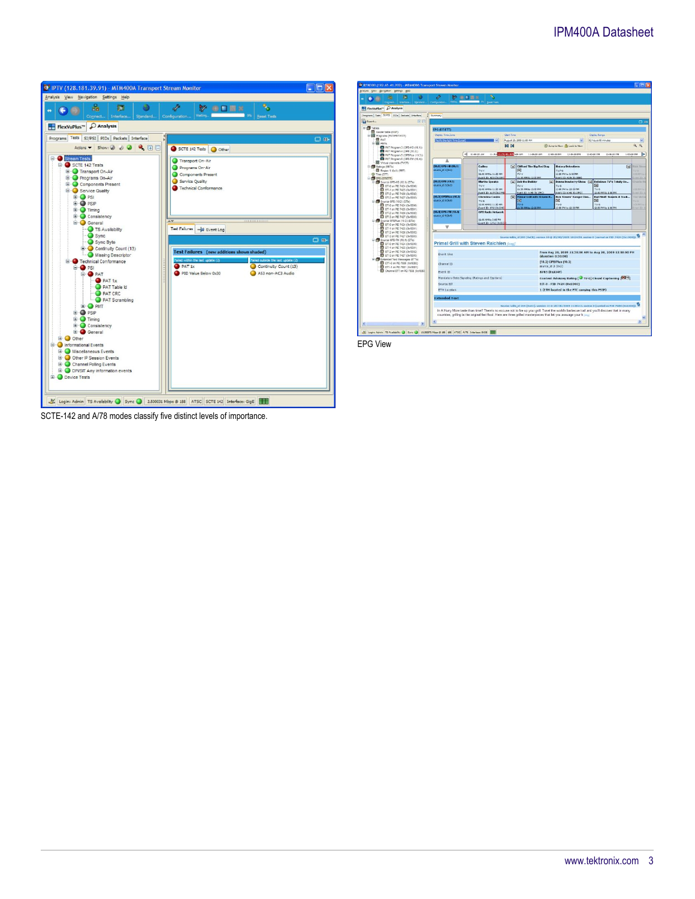### IPM400A Datasheet





EPG View

SCTE-142 and A/78 modes classify five distinct levels of importance.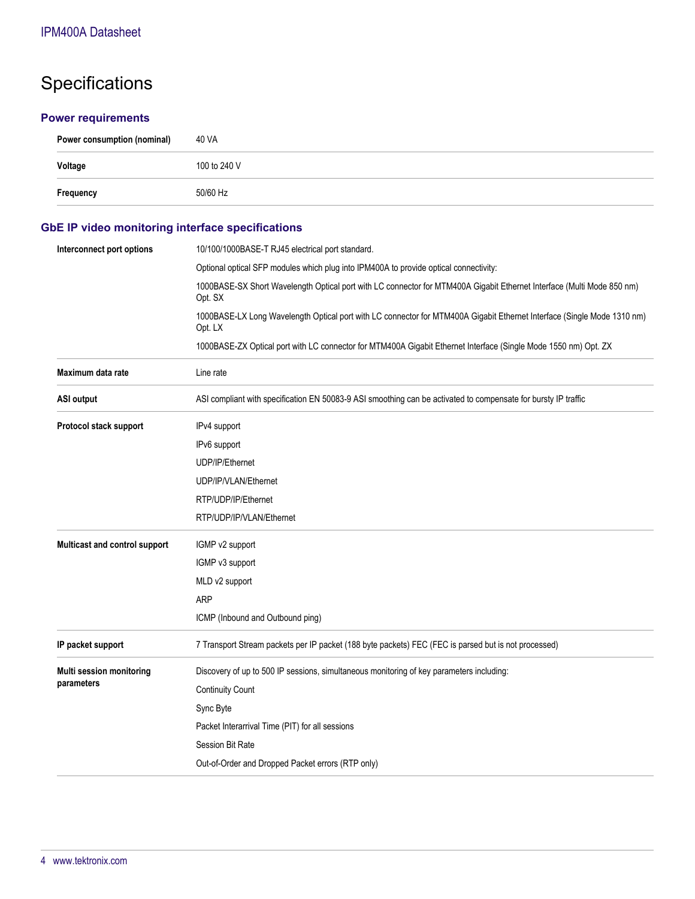# Specifications

#### **Power requirements**

| Power consumption (nominal) | 40 VA        |
|-----------------------------|--------------|
| Voltage                     | 100 to 240 V |
| Frequency                   | 50/60 Hz     |

## **GbE IP video monitoring interface specifications**

| Interconnect port options     | 10/100/1000BASE-T RJ45 electrical port standard.                                                                                   |  |
|-------------------------------|------------------------------------------------------------------------------------------------------------------------------------|--|
|                               | Optional optical SFP modules which plug into IPM400A to provide optical connectivity:                                              |  |
|                               | 1000BASE-SX Short Wavelength Optical port with LC connector for MTM400A Gigabit Ethernet Interface (Multi Mode 850 nm)<br>Opt. SX  |  |
|                               | 1000BASE-LX Long Wavelength Optical port with LC connector for MTM400A Gigabit Ethernet Interface (Single Mode 1310 nm)<br>Opt. LX |  |
|                               | 1000BASE-ZX Optical port with LC connector for MTM400A Gigabit Ethernet Interface (Single Mode 1550 nm) Opt. ZX                    |  |
| Maximum data rate             | Line rate                                                                                                                          |  |
| <b>ASI output</b>             | ASI compliant with specification EN 50083-9 ASI smoothing can be activated to compensate for bursty IP traffic                     |  |
| Protocol stack support        | IPv4 support                                                                                                                       |  |
|                               | IPv6 support                                                                                                                       |  |
|                               | UDP/IP/Ethernet                                                                                                                    |  |
|                               | UDP/IP/VLAN/Ethernet                                                                                                               |  |
|                               | RTP/UDP/IP/Ethernet                                                                                                                |  |
|                               | RTP/UDP/IP/VLAN/Ethernet                                                                                                           |  |
| Multicast and control support | IGMP v2 support                                                                                                                    |  |
|                               | IGMP v3 support                                                                                                                    |  |
|                               | MLD v2 support                                                                                                                     |  |
|                               | <b>ARP</b>                                                                                                                         |  |
|                               | ICMP (Inbound and Outbound ping)                                                                                                   |  |
| IP packet support             | 7 Transport Stream packets per IP packet (188 byte packets) FEC (FEC is parsed but is not processed)                               |  |
| Multi session monitoring      | Discovery of up to 500 IP sessions, simultaneous monitoring of key parameters including:                                           |  |
| parameters                    | <b>Continuity Count</b>                                                                                                            |  |
|                               | Sync Byte                                                                                                                          |  |
|                               | Packet Interarrival Time (PIT) for all sessions                                                                                    |  |
|                               | Session Bit Rate                                                                                                                   |  |
|                               | Out-of-Order and Dropped Packet errors (RTP only)                                                                                  |  |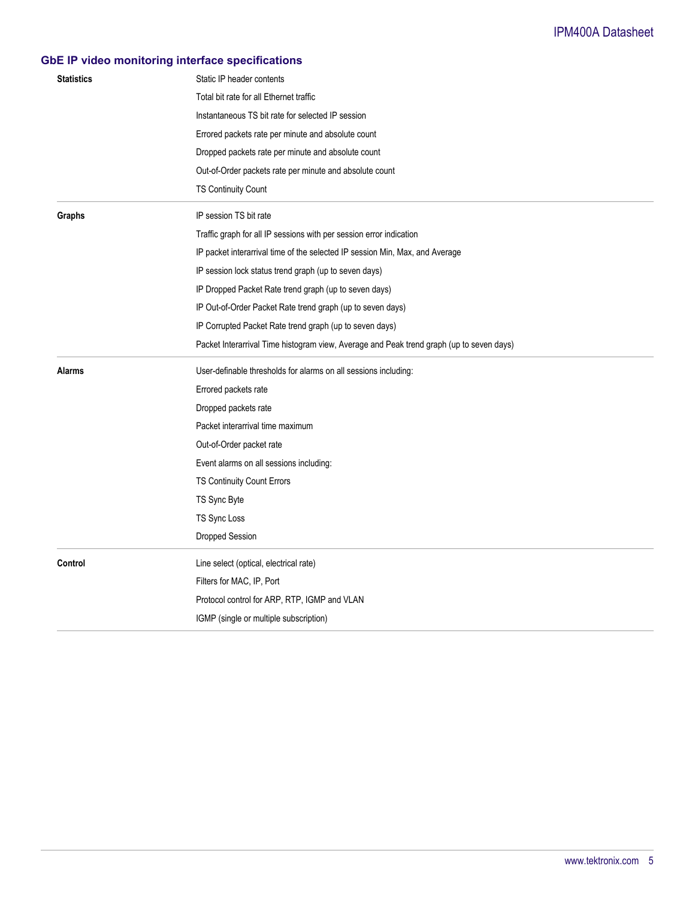## **GbE IP video monitoring interface specifications**

| <b>Statistics</b> | Static IP header contents                                                                |
|-------------------|------------------------------------------------------------------------------------------|
|                   | Total bit rate for all Ethernet traffic                                                  |
|                   | Instantaneous TS bit rate for selected IP session                                        |
|                   | Errored packets rate per minute and absolute count                                       |
|                   | Dropped packets rate per minute and absolute count                                       |
|                   | Out-of-Order packets rate per minute and absolute count                                  |
|                   | TS Continuity Count                                                                      |
| Graphs            | IP session TS bit rate                                                                   |
|                   | Traffic graph for all IP sessions with per session error indication                      |
|                   | IP packet interarrival time of the selected IP session Min, Max, and Average             |
|                   | IP session lock status trend graph (up to seven days)                                    |
|                   | IP Dropped Packet Rate trend graph (up to seven days)                                    |
|                   | IP Out-of-Order Packet Rate trend graph (up to seven days)                               |
|                   | IP Corrupted Packet Rate trend graph (up to seven days)                                  |
|                   | Packet Interarrival Time histogram view, Average and Peak trend graph (up to seven days) |
|                   |                                                                                          |
| Alarms            | User-definable thresholds for alarms on all sessions including:                          |
|                   | Errored packets rate                                                                     |
|                   | Dropped packets rate                                                                     |
|                   | Packet interarrival time maximum                                                         |
|                   | Out-of-Order packet rate                                                                 |
|                   | Event alarms on all sessions including:                                                  |
|                   | TS Continuity Count Errors                                                               |
|                   | TS Sync Byte                                                                             |
|                   | TS Sync Loss                                                                             |
|                   | Dropped Session                                                                          |
| Control           | Line select (optical, electrical rate)                                                   |
|                   | Filters for MAC, IP, Port                                                                |
|                   | Protocol control for ARP, RTP, IGMP and VLAN                                             |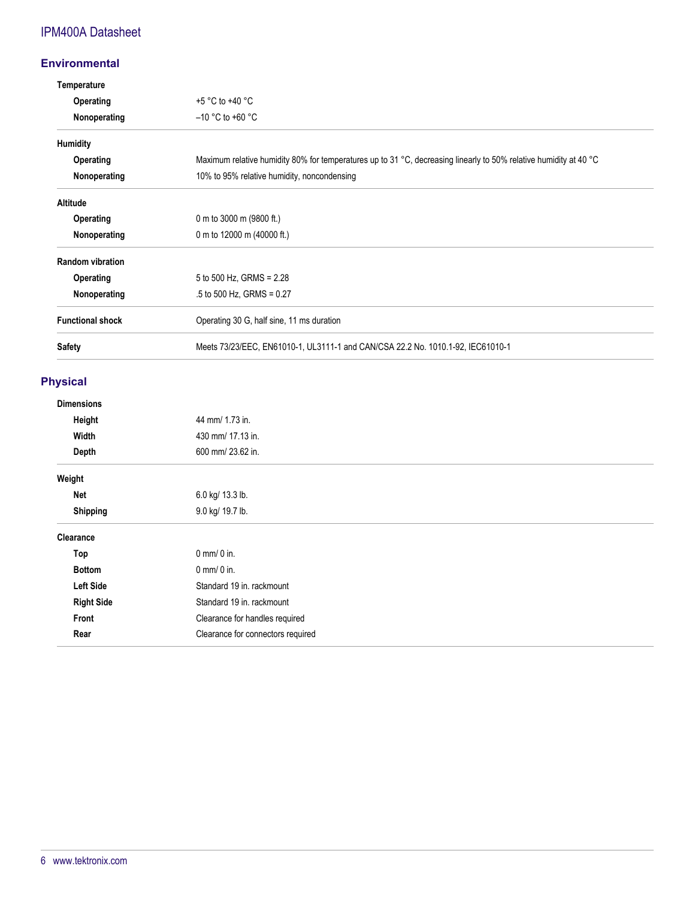## IPM400A Datasheet

#### **Environmental**

| Temperature             |                                                                                                                   |
|-------------------------|-------------------------------------------------------------------------------------------------------------------|
| Operating               | $+5 °C$ to $+40 °C$                                                                                               |
| Nonoperating            | $-10$ °C to +60 °C                                                                                                |
| <b>Humidity</b>         |                                                                                                                   |
| Operating               | Maximum relative humidity 80% for temperatures up to 31 °C, decreasing linearly to 50% relative humidity at 40 °C |
| Nonoperating            | 10% to 95% relative humidity, noncondensing                                                                       |
| <b>Altitude</b>         |                                                                                                                   |
| Operating               | 0 m to 3000 m (9800 ft.)                                                                                          |
| Nonoperating            | 0 m to 12000 m (40000 ft.)                                                                                        |
| <b>Random vibration</b> |                                                                                                                   |
| Operating               | 5 to 500 Hz, GRMS = $2.28$                                                                                        |
| Nonoperating            | $.5$ to 500 Hz, GRMS = 0.27                                                                                       |
| <b>Functional shock</b> | Operating 30 G, half sine, 11 ms duration                                                                         |
| <b>Safety</b>           | Meets 73/23/EEC, EN61010-1, UL3111-1 and CAN/CSA 22.2 No. 1010.1-92, IEC61010-1                                   |

#### **Physical**

| <b>Dimensions</b> |                                   |
|-------------------|-----------------------------------|
| Height            | 44 mm/ 1.73 in.                   |
| Width             | 430 mm/ 17.13 in.                 |
| Depth             | 600 mm/ 23.62 in.                 |
| Weight            |                                   |
| Net               | 6.0 kg/ 13.3 lb.                  |
| <b>Shipping</b>   | 9.0 kg/ 19.7 lb.                  |
| Clearance         |                                   |
| Top               | $0$ mm/ $0$ in.                   |
| <b>Bottom</b>     | $0$ mm/ $0$ in.                   |
| Left Side         | Standard 19 in. rackmount         |
| <b>Right Side</b> | Standard 19 in. rackmount         |
| Front             | Clearance for handles required    |
| Rear              | Clearance for connectors required |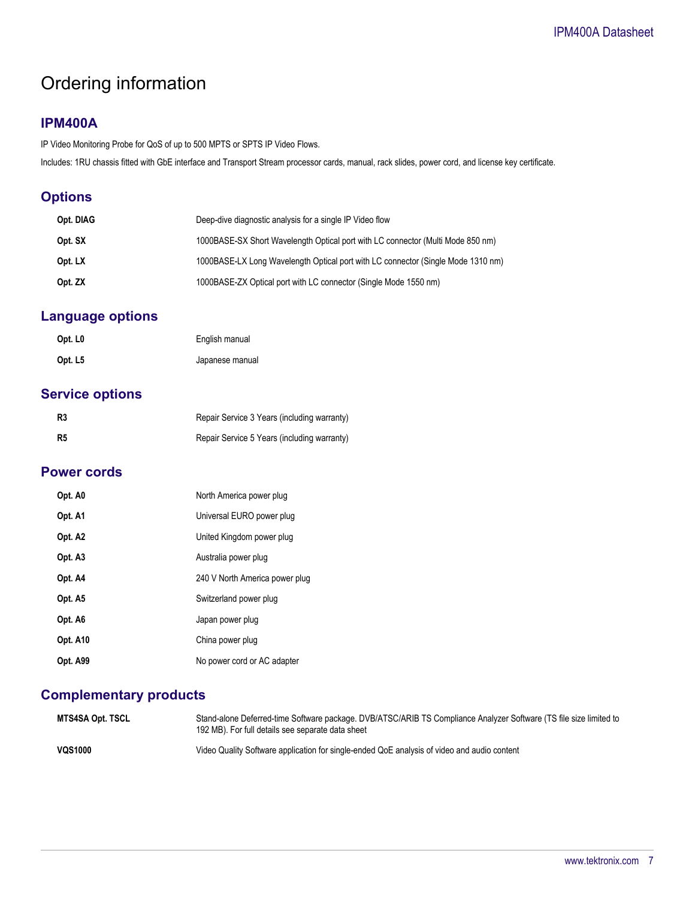# Ordering information

### **IPM400A**

IP Video Monitoring Probe for QoS of up to 500 MPTS or SPTS IP Video Flows.

Includes: 1RU chassis fitted with GbE interface and Transport Stream processor cards, manual, rack slides, power cord, and license key certificate.

## **Options**

| Opt. DIAG | Deep-dive diagnostic analysis for a single IP Video flow                         |
|-----------|----------------------------------------------------------------------------------|
| Opt. SX   | 1000BASE-SX Short Wavelength Optical port with LC connector (Multi Mode 850 nm)  |
| Opt. LX   | 1000BASE-LX Long Wavelength Optical port with LC connector (Single Mode 1310 nm) |
| Opt. ZX   | 1000BASE-ZX Optical port with LC connector (Single Mode 1550 nm)                 |

## **Language options**

| Opt. L <sub>0</sub> | English manual  |
|---------------------|-----------------|
| Opt. L5             | Japanese manual |

## **Service options**

| R <sub>3</sub> | Repair Service 3 Years (including warranty) |
|----------------|---------------------------------------------|
| R <sub>5</sub> | Repair Service 5 Years (including warranty) |

#### **Power cords**

| Opt. A0         | North America power plug       |
|-----------------|--------------------------------|
| Opt. A1         | Universal EURO power plug      |
| Opt. A2         | United Kingdom power plug      |
| Opt. A3         | Australia power plug           |
| Opt. A4         | 240 V North America power plug |
| Opt. A5         | Switzerland power plug         |
| Opt. A6         | Japan power plug               |
| <b>Opt. A10</b> | China power plug               |
| Opt. A99        | No power cord or AC adapter    |

## **Complementary products**

| MTS4SA Opt. TSCL | Stand-alone Deferred-time Software package. DVB/ATSC/ARIB TS Compliance Analyzer Software (TS file size limited to<br>192 MB). For full details see separate data sheet |
|------------------|-------------------------------------------------------------------------------------------------------------------------------------------------------------------------|
| <b>VQS1000</b>   | Video Quality Software application for single-ended QoE analysis of video and audio content                                                                             |